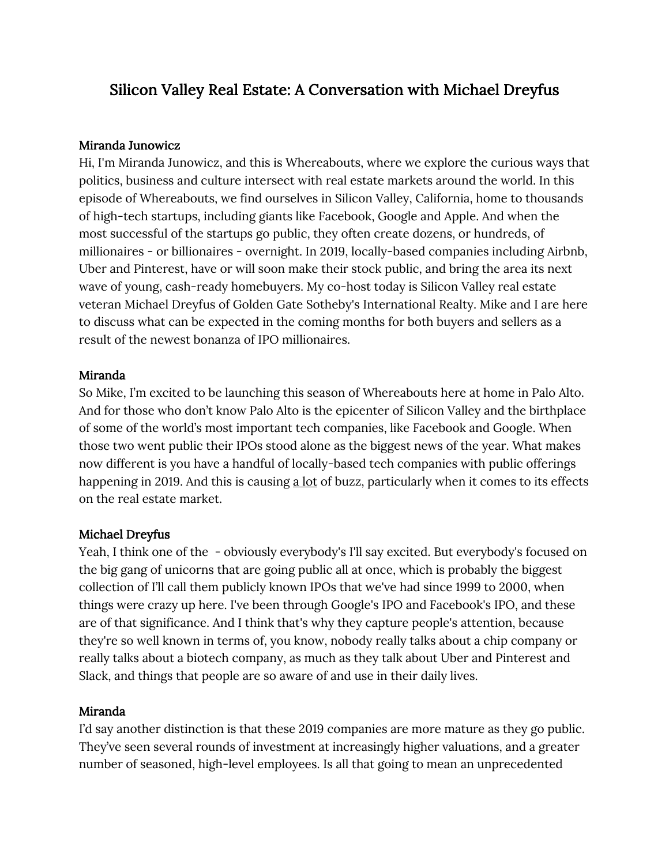# Silicon Valley Real Estate: A Conversation with Michael Dreyfus

## Miranda Junowicz

Hi, I'm Miranda Junowicz, and this is Whereabouts, where we explore the curious ways that politics, business and culture intersect with real estate markets around the world. In this episode of Whereabouts, we find ourselves in Silicon Valley, California, home to thousands of high-tech startups, including giants like Facebook, Google and Apple. And when the most successful of the startups go public, they often create dozens, or hundreds, of millionaires - or billionaires - overnight. In 2019, locally-based companies including Airbnb, Uber and Pinterest, have or will soon make their stock public, and bring the area its next wave of young, cash-ready homebuyers. My co-host today is Silicon Valley real estate veteran Michael Dreyfus of Golden Gate Sotheby's International Realty. Mike and I are here to discuss what can be expected in the coming months for both buyers and sellers as a result of the newest bonanza of IPO millionaires.

## Miranda

So Mike, I'm excited to be launching this season of Whereabouts here at home in Palo Alto. And for those who don't know Palo Alto is the epicenter of Silicon Valley and the birthplace of some of the world's most important tech companies, like Facebook and Google. When those two went public their IPOs stood alone as the biggest news of the year. What makes now different is you have a handful of locally-based tech companies with public offerings happening in 2019. And this is causing a lot of buzz, particularly when it comes to its effects on the real estate market.

## Michael Dreyfus

Yeah, I think one of the - obviously everybody's I'll say excited. But everybody's focused on the big gang of unicorns that are going public all at once, which is probably the biggest collection of I'll call them publicly known IPOs that we've had since 1999 to 2000, when things were crazy up here. I've been through Google's IPO and Facebook's IPO, and these are of that significance. And I think that's why they capture people's attention, because they're so well known in terms of, you know, nobody really talks about a chip company or really talks about a biotech company, as much as they talk about Uber and Pinterest and Slack, and things that people are so aware of and use in their daily lives.

## Miranda

I'd say another distinction is that these 2019 companies are more mature as they go public. They've seen several rounds of investment at increasingly higher valuations, and a greater number of seasoned, high-level employees. Is all that going to mean an unprecedented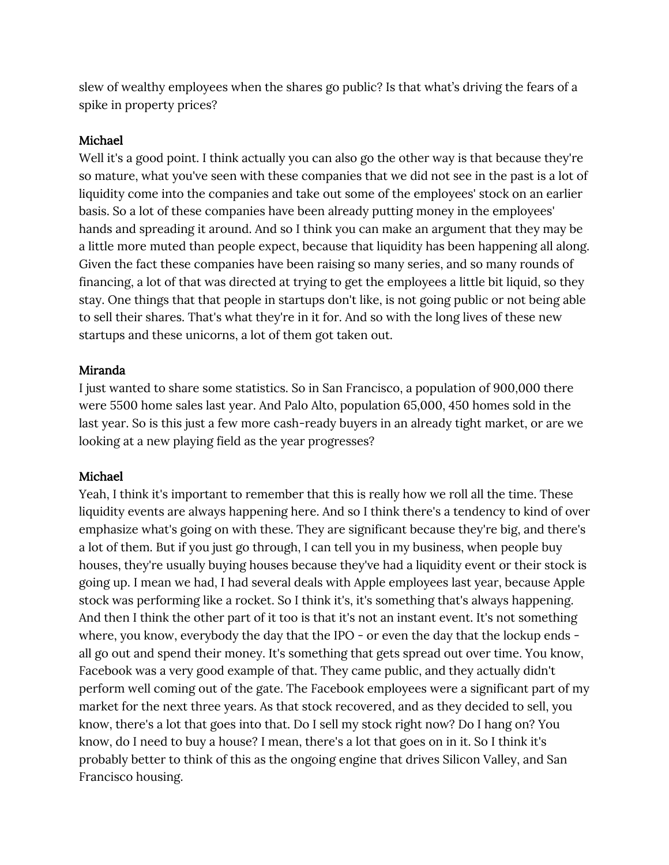slew of wealthy employees when the shares go public? Is that what's driving the fears of a spike in property prices?

#### Michael

Well it's a good point. I think actually you can also go the other way is that because they're so mature, what you've seen with these companies that we did not see in the past is a lot of liquidity come into the companies and take out some of the employees' stock on an earlier basis. So a lot of these companies have been already putting money in the employees' hands and spreading it around. And so I think you can make an argument that they may be a little more muted than people expect, because that liquidity has been happening all along. Given the fact these companies have been raising so many series, and so many rounds of financing, a lot of that was directed at trying to get the employees a little bit liquid, so they stay. One things that that people in startups don't like, is not going public or not being able to sell their shares. That's what they're in it for. And so with the long lives of these new startups and these unicorns, a lot of them got taken out.

#### Miranda

I just wanted to share some statistics. So in San Francisco, a population of 900,000 there were 5500 home sales last year. And Palo Alto, population 65,000, 450 homes sold in the last year. So is this just a few more cash-ready buyers in an already tight market, or are we looking at a new playing field as the year progresses?

#### Michael

Yeah, I think it's important to remember that this is really how we roll all the time. These liquidity events are always happening here. And so I think there's a tendency to kind of over emphasize what's going on with these. They are significant because they're big, and there's a lot of them. But if you just go through, I can tell you in my business, when people buy houses, they're usually buying houses because they've had a liquidity event or their stock is going up. I mean we had, I had several deals with Apple employees last year, because Apple stock was performing like a rocket. So I think it's, it's something that's always happening. And then I think the other part of it too is that it's not an instant event. It's not something where, you know, everybody the day that the IPO - or even the day that the lockup ends all go out and spend their money. It's something that gets spread out over time. You know, Facebook was a very good example of that. They came public, and they actually didn't perform well coming out of the gate. The Facebook employees were a significant part of my market for the next three years. As that stock recovered, and as they decided to sell, you know, there's a lot that goes into that. Do I sell my stock right now? Do I hang on? You know, do I need to buy a house? I mean, there's a lot that goes on in it. So I think it's probably better to think of this as the ongoing engine that drives Silicon Valley, and San Francisco housing.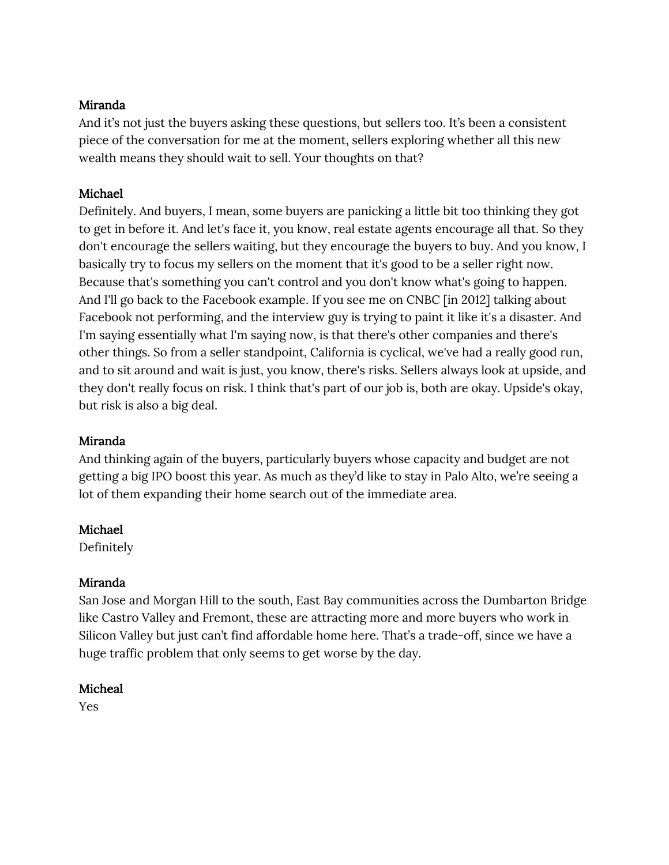## Miranda

And it's not just the buyers asking these questions, but sellers too. It's been a consistent piece of the conversation for me at the moment, sellers exploring whether all this new wealth means they should wait to sell. Your thoughts on that?

## Michael

Definitely. And buyers, I mean, some buyers are panicking a little bit too thinking they got to get in before it. And let's face it, you know, real estate agents encourage all that. So they don't encourage the sellers waiting, but they encourage the buyers to buy. And you know, I basically try to focus my sellers on the moment that it's good to be a seller right now. Because that's something you can't control and you don't know what's going to happen. And I'll go back to the Facebook example. If you see me on CNBC [in 2012] talking about Facebook not performing, and the interview guy is trying to paint it like it's a disaster. And I'm saying essentially what I'm saying now, is that there's other companies and there's other things. So from a seller standpoint, California is cyclical, we've had a really good run, and to sit around and wait is just, you know, there's risks. Sellers always look at upside, and they don't really focus on risk. I think that's part of our job is, both are okay. Upside's okay, but risk is also a big deal.

## Miranda

And thinking again of the buyers, particularly buyers whose capacity and budget are not getting a big IPO boost this year. As much as they'd like to stay in Palo Alto, we're seeing a lot of them expanding their home search out of the immediate area.

## Michael

Definitely

## Miranda

San Jose and Morgan Hill to the south, East Bay communities across the Dumbarton Bridge like Castro Valley and Fremont, these are attracting more and more buyers who work in Silicon Valley but just can't find affordable home here. That's a trade-off, since we have a huge traffic problem that only seems to get worse by the day.

# Micheal

Yes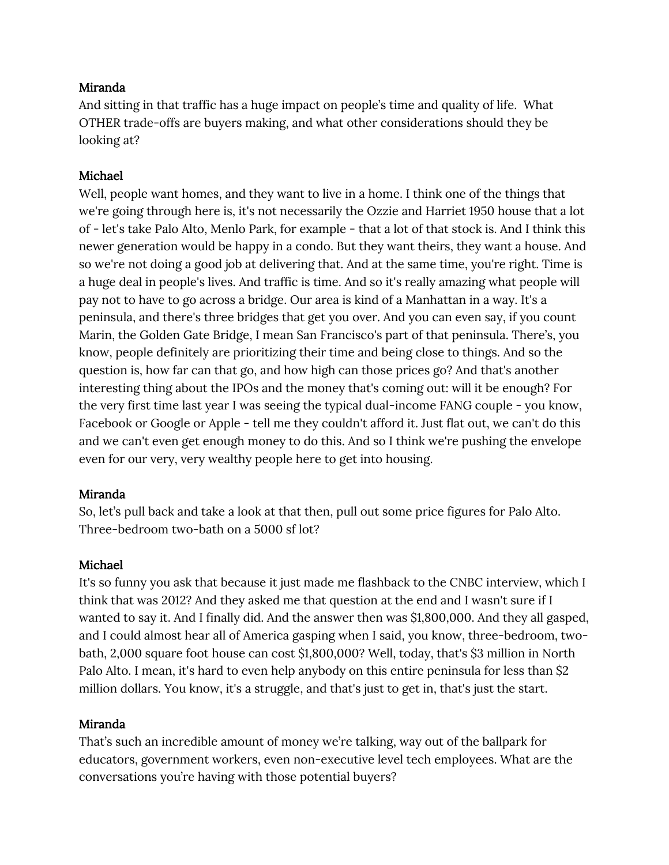## Miranda

And sitting in that traffic has a huge impact on people's time and quality of life. What OTHER trade-offs are buyers making, and what other considerations should they be looking at?

## Michael

Well, people want homes, and they want to live in a home. I think one of the things that we're going through here is, it's not necessarily the Ozzie and Harriet 1950 house that a lot of - let's take Palo Alto, Menlo Park, for example - that a lot of that stock is. And I think this newer generation would be happy in a condo. But they want theirs, they want a house. And so we're not doing a good job at delivering that. And at the same time, you're right. Time is a huge deal in people's lives. And traffic is time. And so it's really amazing what people will pay not to have to go across a bridge. Our area is kind of a Manhattan in a way. It's a peninsula, and there's three bridges that get you over. And you can even say, if you count Marin, the Golden Gate Bridge, I mean San Francisco's part of that peninsula. There's, you know, people definitely are prioritizing their time and being close to things. And so the question is, how far can that go, and how high can those prices go? And that's another interesting thing about the IPOs and the money that's coming out: will it be enough? For the very first time last year I was seeing the typical dual-income FANG couple - you know, Facebook or Google or Apple - tell me they couldn't afford it. Just flat out, we can't do this and we can't even get enough money to do this. And so I think we're pushing the envelope even for our very, very wealthy people here to get into housing.

## Miranda

So, let's pull back and take a look at that then, pull out some price figures for Palo Alto. Three-bedroom two-bath on a 5000 sf lot?

## Michael

It's so funny you ask that because it just made me flashback to the CNBC interview, which I think that was 2012? And they asked me that question at the end and I wasn't sure if I wanted to say it. And I finally did. And the answer then was \$1,800,000. And they all gasped, and I could almost hear all of America gasping when I said, you know, three-bedroom, twobath, 2,000 square foot house can cost \$1,800,000? Well, today, that's \$3 million in North Palo Alto. I mean, it's hard to even help anybody on this entire peninsula for less than \$2 million dollars. You know, it's a struggle, and that's just to get in, that's just the start.

## Miranda

That's such an incredible amount of money we're talking, way out of the ballpark for educators, government workers, even non-executive level tech employees. What are the conversations you're having with those potential buyers?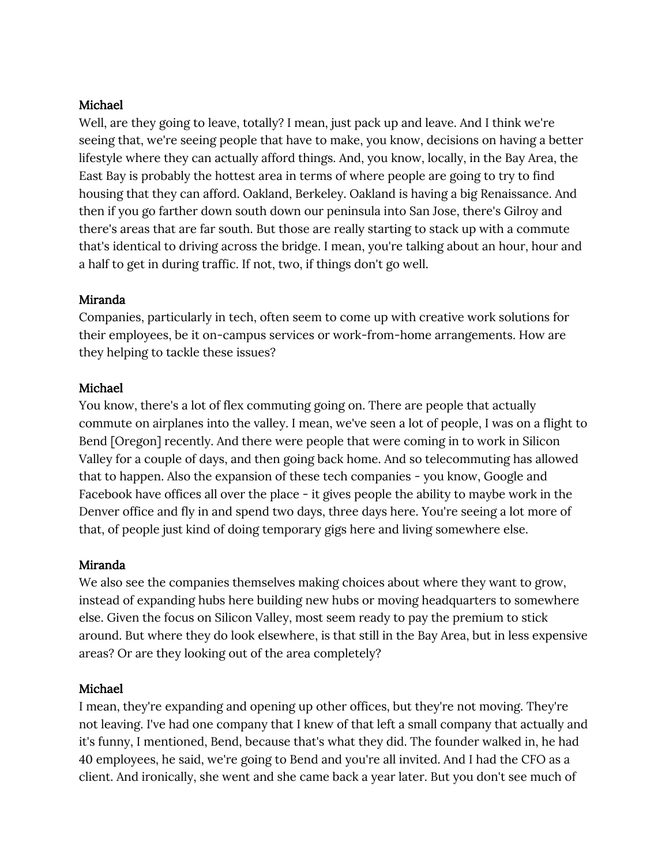## Michael

Well, are they going to leave, totally? I mean, just pack up and leave. And I think we're seeing that, we're seeing people that have to make, you know, decisions on having a better lifestyle where they can actually afford things. And, you know, locally, in the Bay Area, the East Bay is probably the hottest area in terms of where people are going to try to find housing that they can afford. Oakland, Berkeley. Oakland is having a big Renaissance. And then if you go farther down south down our peninsula into San Jose, there's Gilroy and there's areas that are far south. But those are really starting to stack up with a commute that's identical to driving across the bridge. I mean, you're talking about an hour, hour and a half to get in during traffic. If not, two, if things don't go well.

## Miranda

Companies, particularly in tech, often seem to come up with creative work solutions for their employees, be it on-campus services or work-from-home arrangements. How are they helping to tackle these issues?

## Michael

You know, there's a lot of flex commuting going on. There are people that actually commute on airplanes into the valley. I mean, we've seen a lot of people, I was on a flight to Bend [Oregon] recently. And there were people that were coming in to work in Silicon Valley for a couple of days, and then going back home. And so telecommuting has allowed that to happen. Also the expansion of these tech companies - you know, Google and Facebook have offices all over the place - it gives people the ability to maybe work in the Denver office and fly in and spend two days, three days here. You're seeing a lot more of that, of people just kind of doing temporary gigs here and living somewhere else.

## Miranda

We also see the companies themselves making choices about where they want to grow, instead of expanding hubs here building new hubs or moving headquarters to somewhere else. Given the focus on Silicon Valley, most seem ready to pay the premium to stick around. But where they do look elsewhere, is that still in the Bay Area, but in less expensive areas? Or are they looking out of the area completely?

## Michael

I mean, they're expanding and opening up other offices, but they're not moving. They're not leaving. I've had one company that I knew of that left a small company that actually and it's funny, I mentioned, Bend, because that's what they did. The founder walked in, he had 40 employees, he said, we're going to Bend and you're all invited. And I had the CFO as a client. And ironically, she went and she came back a year later. But you don't see much of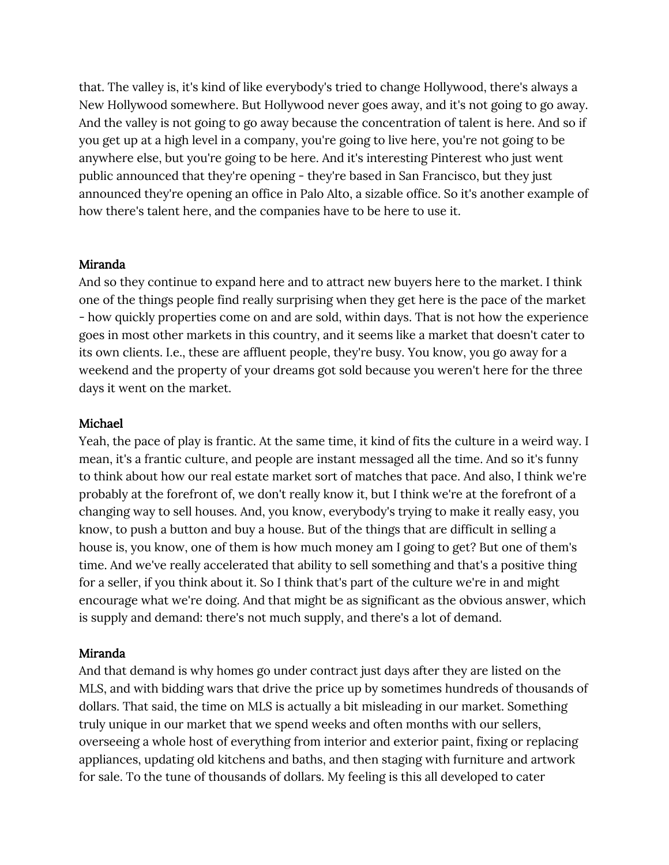that. The valley is, it's kind of like everybody's tried to change Hollywood, there's always a New Hollywood somewhere. But Hollywood never goes away, and it's not going to go away. And the valley is not going to go away because the concentration of talent is here. And so if you get up at a high level in a company, you're going to live here, you're not going to be anywhere else, but you're going to be here. And it's interesting Pinterest who just went public announced that they're opening - they're based in San Francisco, but they just announced they're opening an office in Palo Alto, a sizable office. So it's another example of how there's talent here, and the companies have to be here to use it.

## Miranda

And so they continue to expand here and to attract new buyers here to the market. I think one of the things people find really surprising when they get here is the pace of the market - how quickly properties come on and are sold, within days. That is not how the experience goes in most other markets in this country, and it seems like a market that doesn't cater to its own clients. I.e., these are affluent people, they're busy. You know, you go away for a weekend and the property of your dreams got sold because you weren't here for the three days it went on the market.

## Michael

Yeah, the pace of play is frantic. At the same time, it kind of fits the culture in a weird way. I mean, it's a frantic culture, and people are instant messaged all the time. And so it's funny to think about how our real estate market sort of matches that pace. And also, I think we're probably at the forefront of, we don't really know it, but I think we're at the forefront of a changing way to sell houses. And, you know, everybody's trying to make it really easy, you know, to push a button and buy a house. But of the things that are difficult in selling a house is, you know, one of them is how much money am I going to get? But one of them's time. And we've really accelerated that ability to sell something and that's a positive thing for a seller, if you think about it. So I think that's part of the culture we're in and might encourage what we're doing. And that might be as significant as the obvious answer, which is supply and demand: there's not much supply, and there's a lot of demand.

## Miranda

And that demand is why homes go under contract just days after they are listed on the MLS, and with bidding wars that drive the price up by sometimes hundreds of thousands of dollars. That said, the time on MLS is actually a bit misleading in our market. Something truly unique in our market that we spend weeks and often months with our sellers, overseeing a whole host of everything from interior and exterior paint, fixing or replacing appliances, updating old kitchens and baths, and then staging with furniture and artwork for sale. To the tune of thousands of dollars. My feeling is this all developed to cater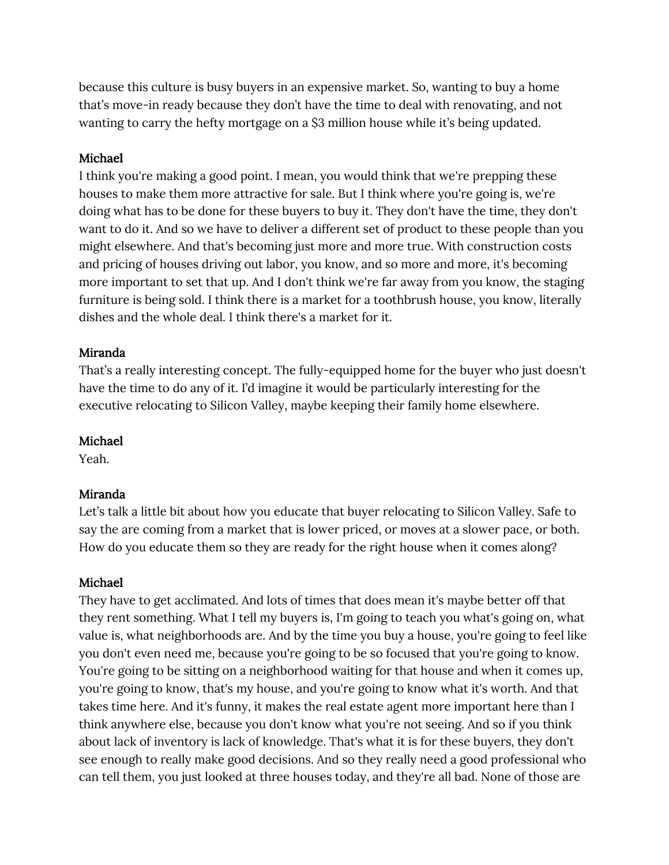because this culture is busy buyers in an expensive market. So, wanting to buy a home that's move-in ready because they don't have the time to deal with renovating, and not wanting to carry the hefty mortgage on a \$3 million house while it's being updated.

## Michael

I think you're making a good point. I mean, you would think that we're prepping these houses to make them more attractive for sale. But I think where you're going is, we're doing what has to be done for these buyers to buy it. They don't have the time, they don't want to do it. And so we have to deliver a different set of product to these people than you might elsewhere. And that's becoming just more and more true. With construction costs and pricing of houses driving out labor, you know, and so more and more, it's becoming more important to set that up. And I don't think we're far away from you know, the staging furniture is being sold. I think there is a market for a toothbrush house, you know, literally dishes and the whole deal. I think there's a market for it.

## Miranda

That's a really interesting concept. The fully-equipped home for the buyer who just doesn't have the time to do any of it. I'd imagine it would be particularly interesting for the executive relocating to Silicon Valley, maybe keeping their family home elsewhere.

# Michael

Yeah.

# Miranda

Let's talk a little bit about how you educate that buyer relocating to Silicon Valley. Safe to say the are coming from a market that is lower priced, or moves at a slower pace, or both. How do you educate them so they are ready for the right house when it comes along?

## Michael

They have to get acclimated. And lots of times that does mean it's maybe better off that they rent something. What I tell my buyers is, I'm going to teach you what's going on, what value is, what neighborhoods are. And by the time you buy a house, you're going to feel like you don't even need me, because you're going to be so focused that you're going to know. You're going to be sitting on a neighborhood waiting for that house and when it comes up, you're going to know, that's my house, and you're going to know what it's worth. And that takes time here. And it's funny, it makes the real estate agent more important here than I think anywhere else, because you don't know what you're not seeing. And so if you think about lack of inventory is lack of knowledge. That's what it is for these buyers, they don't see enough to really make good decisions. And so they really need a good professional who can tell them, you just looked at three houses today, and they're all bad. None of those are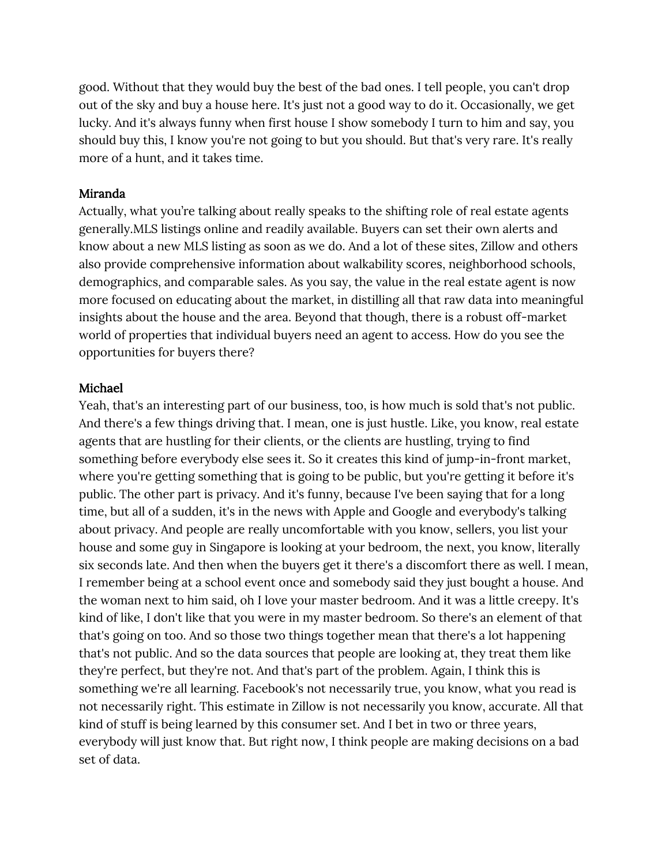good. Without that they would buy the best of the bad ones. I tell people, you can't drop out of the sky and buy a house here. It's just not a good way to do it. Occasionally, we get lucky. And it's always funny when first house I show somebody I turn to him and say, you should buy this, I know you're not going to but you should. But that's very rare. It's really more of a hunt, and it takes time.

#### Miranda

Actually, what you're talking about really speaks to the shifting role of real estate agents generally.MLS listings online and readily available. Buyers can set their own alerts and know about a new MLS listing as soon as we do. And a lot of these sites, Zillow and others also provide comprehensive information about walkability scores, neighborhood schools, demographics, and comparable sales. As you say, the value in the real estate agent is now more focused on educating about the market, in distilling all that raw data into meaningful insights about the house and the area. Beyond that though, there is a robust off-market world of properties that individual buyers need an agent to access. How do you see the opportunities for buyers there?

#### Michael

Yeah, that's an interesting part of our business, too, is how much is sold that's not public. And there's a few things driving that. I mean, one is just hustle. Like, you know, real estate agents that are hustling for their clients, or the clients are hustling, trying to find something before everybody else sees it. So it creates this kind of jump-in-front market, where you're getting something that is going to be public, but you're getting it before it's public. The other part is privacy. And it's funny, because I've been saying that for a long time, but all of a sudden, it's in the news with Apple and Google and everybody's talking about privacy. And people are really uncomfortable with you know, sellers, you list your house and some guy in Singapore is looking at your bedroom, the next, you know, literally six seconds late. And then when the buyers get it there's a discomfort there as well. I mean, I remember being at a school event once and somebody said they just bought a house. And the woman next to him said, oh I love your master bedroom. And it was a little creepy. It's kind of like, I don't like that you were in my master bedroom. So there's an element of that that's going on too. And so those two things together mean that there's a lot happening that's not public. And so the data sources that people are looking at, they treat them like they're perfect, but they're not. And that's part of the problem. Again, I think this is something we're all learning. Facebook's not necessarily true, you know, what you read is not necessarily right. This estimate in Zillow is not necessarily you know, accurate. All that kind of stuff is being learned by this consumer set. And I bet in two or three years, everybody will just know that. But right now, I think people are making decisions on a bad set of data.